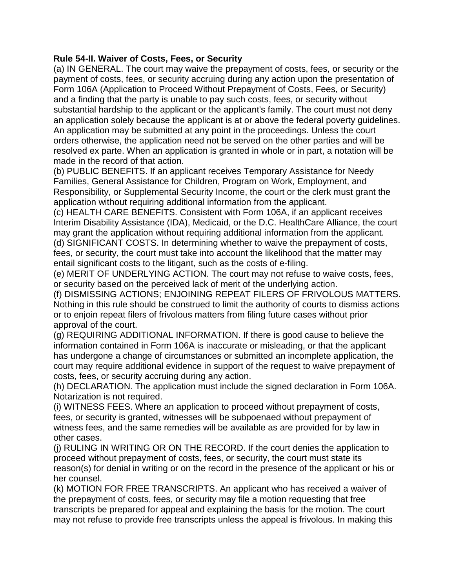## **Rule 54-II. Waiver of Costs, Fees, or Security**

(a) IN GENERAL. The court may waive the prepayment of costs, fees, or security or the payment of costs, fees, or security accruing during any action upon the presentation of Form 106A (Application to Proceed Without Prepayment of Costs, Fees, or Security) and a finding that the party is unable to pay such costs, fees, or security without substantial hardship to the applicant or the applicant's family. The court must not deny an application solely because the applicant is at or above the federal poverty guidelines. An application may be submitted at any point in the proceedings. Unless the court orders otherwise, the application need not be served on the other parties and will be resolved ex parte. When an application is granted in whole or in part, a notation will be made in the record of that action.

(b) PUBLIC BENEFITS. If an applicant receives Temporary Assistance for Needy Families, General Assistance for Children, Program on Work, Employment, and Responsibility, or Supplemental Security Income, the court or the clerk must grant the application without requiring additional information from the applicant.

(c) HEALTH CARE BENEFITS. Consistent with Form 106A, if an applicant receives Interim Disability Assistance (IDA), Medicaid, or the D.C. HealthCare Alliance, the court may grant the application without requiring additional information from the applicant. (d) SIGNIFICANT COSTS. In determining whether to waive the prepayment of costs, fees, or security, the court must take into account the likelihood that the matter may entail significant costs to the litigant, such as the costs of e-filing.

(e) MERIT OF UNDERLYING ACTION. The court may not refuse to waive costs, fees, or security based on the perceived lack of merit of the underlying action.

(f) DISMISSING ACTIONS; ENJOINING REPEAT FILERS OF FRIVOLOUS MATTERS. Nothing in this rule should be construed to limit the authority of courts to dismiss actions or to enjoin repeat filers of frivolous matters from filing future cases without prior approval of the court.

(g) REQUIRING ADDITIONAL INFORMATION. If there is good cause to believe the information contained in Form 106A is inaccurate or misleading, or that the applicant has undergone a change of circumstances or submitted an incomplete application, the court may require additional evidence in support of the request to waive prepayment of costs, fees, or security accruing during any action.

(h) DECLARATION. The application must include the signed declaration in Form 106A. Notarization is not required.

(i) WITNESS FEES. Where an application to proceed without prepayment of costs, fees, or security is granted, witnesses will be subpoenaed without prepayment of witness fees, and the same remedies will be available as are provided for by law in other cases.

(j) RULING IN WRITING OR ON THE RECORD. If the court denies the application to proceed without prepayment of costs, fees, or security, the court must state its reason(s) for denial in writing or on the record in the presence of the applicant or his or her counsel.

(k) MOTION FOR FREE TRANSCRIPTS. An applicant who has received a waiver of the prepayment of costs, fees, or security may file a motion requesting that free transcripts be prepared for appeal and explaining the basis for the motion. The court may not refuse to provide free transcripts unless the appeal is frivolous. In making this